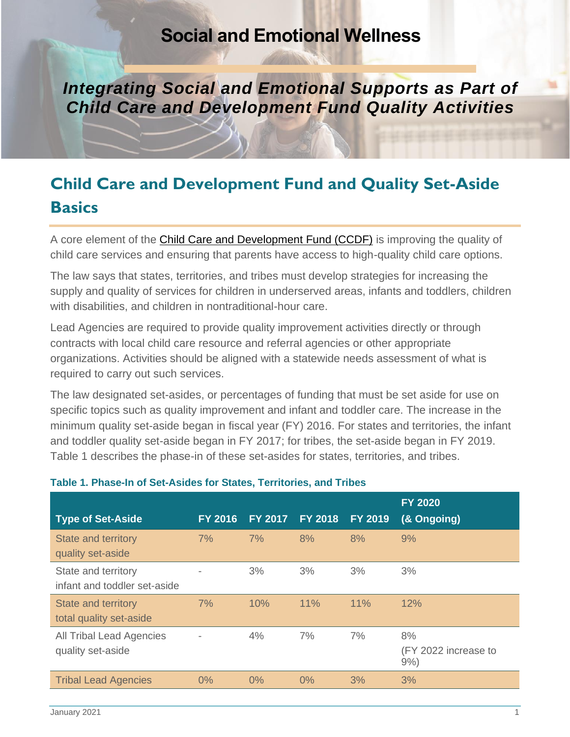## **Social and Emotional Wellness**

**Integrating Social and Emotional Supports as Part of** *Child Care and Development Fund Quality Activities*

# **Child Care and Development Fund and Quality Set-Aside Basics**

A core element of the [Child Care and Development Fund \(CCDF\)](https://www.acf.hhs.gov/occ/ccdf-reauthorization) is improving the quality of child care services and ensuring that parents have access to high-quality child care options.

The law says that states, territories, and tribes must develop strategies for increasing the supply and quality of services for children in underserved areas, infants and toddlers, children with disabilities, and children in nontraditional-hour care.

Lead Agencies are required to provide quality improvement activities directly or through contracts with local child care resource and referral agencies or other appropriate organizations. Activities should be aligned with a statewide needs assessment of what is required to carry out such services.

The law designated set-asides, or percentages of funding that must be set aside for use on specific topics such as quality improvement and infant and toddler care. The increase in the minimum quality set-aside began in fiscal year (FY) 2016. For states and territories, the infant and toddler quality set-aside began in FY 2017; for tribes, the set-aside began in FY 2019. Table 1 describes the phase-in of these set-asides for states, territories, and tribes.

| <b>Type of Set-Aside</b>                            | <b>FY 2016</b> | FY 2017 | <b>FY 2018</b> | <b>FY 2019</b> | <b>FY 2020</b><br>(& Ongoing)        |
|-----------------------------------------------------|----------------|---------|----------------|----------------|--------------------------------------|
| <b>State and territory</b><br>quality set-aside     | 7%             | 7%      | 8%             | 8%             | 9%                                   |
| State and territory<br>infant and toddler set-aside |                | 3%      | 3%             | 3%             | 3%                                   |
| State and territory<br>total quality set-aside      | 7%             | 10%     | 11%            | 11%            | 12%                                  |
| All Tribal Lead Agencies<br>quality set-aside       |                | 4%      | 7%             | 7%             | 8%<br>(FY 2022 increase to<br>$9%$ ) |
| <b>Tribal Lead Agencies</b>                         | 0%             | $0\%$   | $0\%$          | 3%             | 3%                                   |

#### **Table 1. Phase-In of Set-Asides for States, Territories, and Tribes**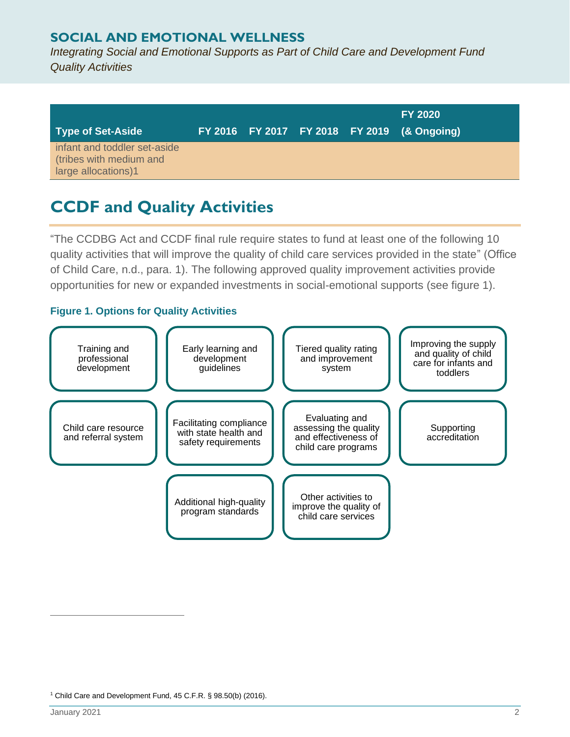### **SOCIAL AND EMOTIONAL WELLNESS**

*Integrating Social and Emotional Supports as Part of Child Care and Development Fund Quality Activities*

| Type of Set-Aside                                                              |  |  | <b>FY 2020</b><br>FY 2016 FY 2017 FY 2018 FY 2019 (& Ongoing) |
|--------------------------------------------------------------------------------|--|--|---------------------------------------------------------------|
| infant and toddler set-aside<br>(tribes with medium and<br>large allocations)1 |  |  |                                                               |

## **CCDF and Quality Activities**

"The CCDBG Act and CCDF final rule require states to fund at least one of the following 10 quality activities that will improve the quality of child care services provided in the state" (Office of Child Care, n.d., para. 1). The following approved quality improvement activities provide opportunities for new or expanded investments in social-emotional supports (see figure 1).

#### **Figure 1. Options for Quality Activities**



<sup>&</sup>lt;sup>1</sup> Child Care and Development Fund, 45 C.F.R. § 98.50(b) (2016).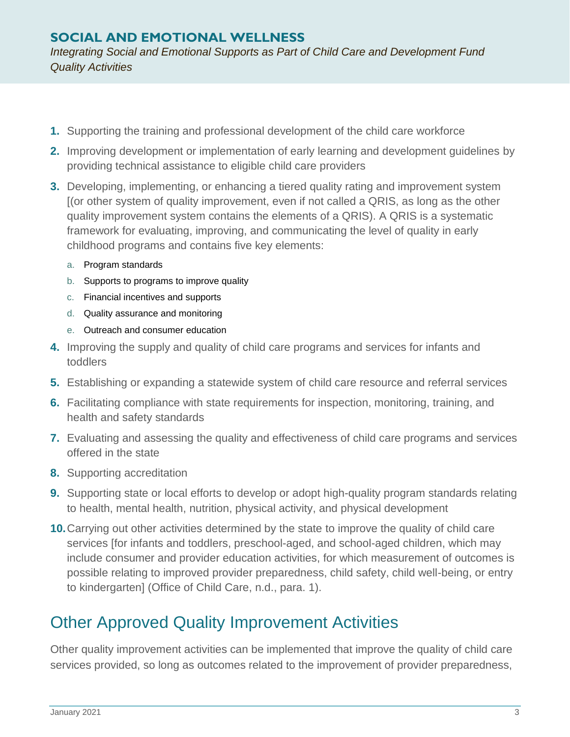### **SOCIAL AND EMOTIONAL WELLNESS**

*Integrating Social and Emotional Supports as Part of Child Care and Development Fund Quality Activities*

- **1.** Supporting the training and professional development of the child care workforce
- **2.** Improving development or implementation of early learning and development guidelines by providing technical assistance to eligible child care providers
- **3.** Developing, implementing, or enhancing a tiered quality rating and improvement system [(or other system of quality improvement, even if not called a QRIS, as long as the other quality improvement system contains the elements of a QRIS). A QRIS is a systematic framework for evaluating, improving, and communicating the level of quality in early childhood programs and contains five key elements:
	- a. Program standards
	- b. Supports to programs to improve quality
	- c. Financial incentives and supports
	- d. Quality assurance and monitoring
	- e. Outreach and consumer education
- **4.** Improving the supply and quality of child care programs and services for infants and toddlers
- **5.** Establishing or expanding a statewide system of child care resource and referral services
- **6.** Facilitating compliance with state requirements for inspection, monitoring, training, and health and safety standards
- **7.** Evaluating and assessing the quality and effectiveness of child care programs and services offered in the state
- **8.** Supporting accreditation
- **9.** Supporting state or local efforts to develop or adopt high-quality program standards relating to health, mental health, nutrition, physical activity, and physical development
- **10.**Carrying out other activities determined by the state to improve the quality of child care services [for infants and toddlers, preschool-aged, and school-aged children, which may include consumer and provider education activities, for which measurement of outcomes is possible relating to improved provider preparedness, child safety, child well-being, or entry to kindergarten] (Office of Child Care, n.d., para. 1).

## Other Approved Quality Improvement Activities

Other quality improvement activities can be implemented that improve the quality of child care services provided, so long as outcomes related to the improvement of provider preparedness,